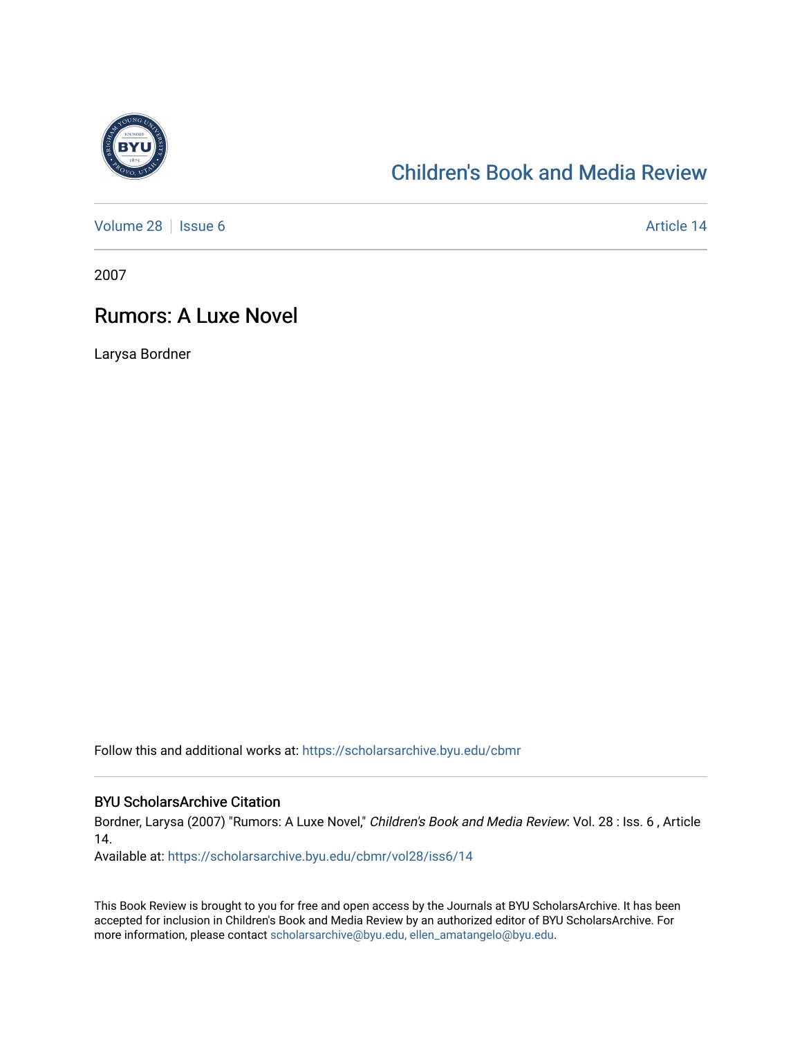

## [Children's Book and Media Review](https://scholarsarchive.byu.edu/cbmr)

[Volume 28](https://scholarsarchive.byu.edu/cbmr/vol28) | [Issue 6](https://scholarsarchive.byu.edu/cbmr/vol28/iss6) Article 14

2007

## Rumors: A Luxe Novel

Larysa Bordner

Follow this and additional works at: [https://scholarsarchive.byu.edu/cbmr](https://scholarsarchive.byu.edu/cbmr?utm_source=scholarsarchive.byu.edu%2Fcbmr%2Fvol28%2Fiss6%2F14&utm_medium=PDF&utm_campaign=PDFCoverPages) 

## BYU ScholarsArchive Citation

Bordner, Larysa (2007) "Rumors: A Luxe Novel," Children's Book and Media Review: Vol. 28 : Iss. 6 , Article 14.

Available at: [https://scholarsarchive.byu.edu/cbmr/vol28/iss6/14](https://scholarsarchive.byu.edu/cbmr/vol28/iss6/14?utm_source=scholarsarchive.byu.edu%2Fcbmr%2Fvol28%2Fiss6%2F14&utm_medium=PDF&utm_campaign=PDFCoverPages)

This Book Review is brought to you for free and open access by the Journals at BYU ScholarsArchive. It has been accepted for inclusion in Children's Book and Media Review by an authorized editor of BYU ScholarsArchive. For more information, please contact [scholarsarchive@byu.edu, ellen\\_amatangelo@byu.edu.](mailto:scholarsarchive@byu.edu,%20ellen_amatangelo@byu.edu)